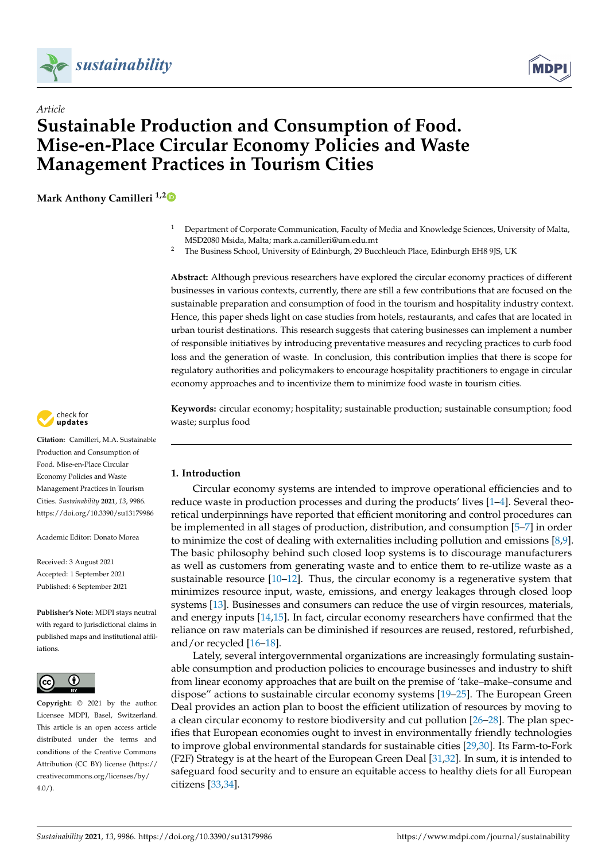



# *Article* **Sustainable Production and Consumption of Food. Mise-en-Place Circular Economy Policies and Waste Management Practices in Tourism Cities**

**Mark Anthony Camilleri 1,[2](https://orcid.org/0000-0003-1288-4256)**

- <sup>1</sup> Department of Corporate Communication, Faculty of Media and Knowledge Sciences, University of Malta, MSD2080 Msida, Malta; mark.a.camilleri@um.edu.mt
- <sup>2</sup> The Business School, University of Edinburgh, 29 Bucchleuch Place, Edinburgh EH8 9JS, UK

**Abstract:** Although previous researchers have explored the circular economy practices of different businesses in various contexts, currently, there are still a few contributions that are focused on the sustainable preparation and consumption of food in the tourism and hospitality industry context. Hence, this paper sheds light on case studies from hotels, restaurants, and cafes that are located in urban tourist destinations. This research suggests that catering businesses can implement a number of responsible initiatives by introducing preventative measures and recycling practices to curb food loss and the generation of waste. In conclusion, this contribution implies that there is scope for regulatory authorities and policymakers to encourage hospitality practitioners to engage in circular economy approaches and to incentivize them to minimize food waste in tourism cities.

**Keywords:** circular economy; hospitality; sustainable production; sustainable consumption; food waste; surplus food

## **1. Introduction**

Circular economy systems are intended to improve operational efficiencies and to reduce waste in production processes and during the products' lives [\[1–](#page-9-0)[4\]](#page-9-1). Several theoretical underpinnings have reported that efficient monitoring and control procedures can be implemented in all stages of production, distribution, and consumption [\[5](#page-9-2)[–7\]](#page-9-3) in order to minimize the cost of dealing with externalities including pollution and emissions [\[8,](#page-9-4)[9\]](#page-9-5). The basic philosophy behind such closed loop systems is to discourage manufacturers as well as customers from generating waste and to entice them to re-utilize waste as a sustainable resource [\[10–](#page-9-6)[12\]](#page-9-7). Thus, the circular economy is a regenerative system that minimizes resource input, waste, emissions, and energy leakages through closed loop systems [\[13\]](#page-9-8). Businesses and consumers can reduce the use of virgin resources, materials, and energy inputs [\[14](#page-9-9)[,15\]](#page-9-10). In fact, circular economy researchers have confirmed that the reliance on raw materials can be diminished if resources are reused, restored, refurbished, and/or recycled [\[16](#page-9-11)[–18\]](#page-9-12).

Lately, several intergovernmental organizations are increasingly formulating sustainable consumption and production policies to encourage businesses and industry to shift from linear economy approaches that are built on the premise of 'take–make–consume and dispose" actions to sustainable circular economy systems [\[19](#page-9-13)[–25\]](#page-10-0). The European Green Deal provides an action plan to boost the efficient utilization of resources by moving to a clean circular economy to restore biodiversity and cut pollution [\[26](#page-10-1)[–28\]](#page-10-2). The plan specifies that European economies ought to invest in environmentally friendly technologies to improve global environmental standards for sustainable cities [\[29](#page-10-3)[,30\]](#page-10-4). Its Farm-to-Fork (F2F) Strategy is at the heart of the European Green Deal [\[31,](#page-10-5)[32\]](#page-10-6). In sum, it is intended to safeguard food security and to ensure an equitable access to healthy diets for all European citizens [\[33](#page-10-7)[,34\]](#page-10-8).



**Citation:** Camilleri, M.A. Sustainable Production and Consumption of Food. Mise-en-Place Circular Economy Policies and Waste Management Practices in Tourism Cities. *Sustainability* **2021**, *13*, 9986. <https://doi.org/10.3390/su13179986>

Academic Editor: Donato Morea

Received: 3 August 2021 Accepted: 1 September 2021 Published: 6 September 2021

**Publisher's Note:** MDPI stays neutral with regard to jurisdictional claims in published maps and institutional affiliations.



**Copyright:** © 2021 by the author. Licensee MDPI, Basel, Switzerland. This article is an open access article distributed under the terms and conditions of the Creative Commons Attribution (CC BY) license (https:/[/](https://creativecommons.org/licenses/by/4.0/) [creativecommons.org/licenses/by/](https://creativecommons.org/licenses/by/4.0/)  $4.0/$ ).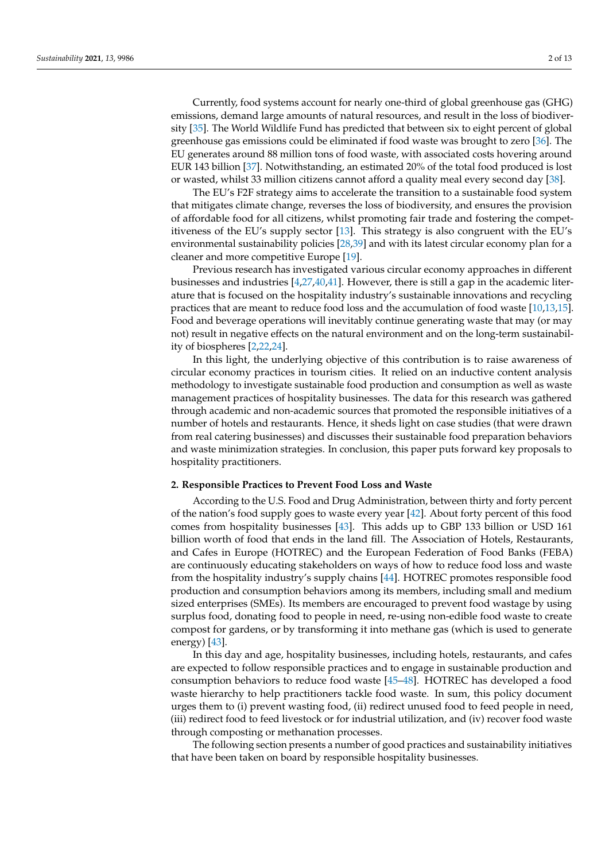Currently, food systems account for nearly one-third of global greenhouse gas (GHG) emissions, demand large amounts of natural resources, and result in the loss of biodiversity [\[35\]](#page-10-9). The World Wildlife Fund has predicted that between six to eight percent of global greenhouse gas emissions could be eliminated if food waste was brought to zero [\[36\]](#page-10-10). The EU generates around 88 million tons of food waste, with associated costs hovering around EUR 143 billion [\[37\]](#page-10-11). Notwithstanding, an estimated 20% of the total food produced is lost or wasted, whilst 33 million citizens cannot afford a quality meal every second day [\[38\]](#page-10-12).

The EU's F2F strategy aims to accelerate the transition to a sustainable food system that mitigates climate change, reverses the loss of biodiversity, and ensures the provision of affordable food for all citizens, whilst promoting fair trade and fostering the competitiveness of the EU's supply sector [\[13\]](#page-9-8). This strategy is also congruent with the EU's environmental sustainability policies [\[28,](#page-10-2)[39\]](#page-10-13) and with its latest circular economy plan for a cleaner and more competitive Europe [\[19\]](#page-9-13).

Previous research has investigated various circular economy approaches in different businesses and industries [\[4](#page-9-1)[,27](#page-10-14)[,40,](#page-10-15)[41\]](#page-10-16). However, there is still a gap in the academic literature that is focused on the hospitality industry's sustainable innovations and recycling practices that are meant to reduce food loss and the accumulation of food waste [\[10](#page-9-6)[,13](#page-9-8)[,15\]](#page-9-10). Food and beverage operations will inevitably continue generating waste that may (or may not) result in negative effects on the natural environment and on the long-term sustainability of biospheres [\[2](#page-9-14)[,22](#page-10-17)[,24\]](#page-10-18).

In this light, the underlying objective of this contribution is to raise awareness of circular economy practices in tourism cities. It relied on an inductive content analysis methodology to investigate sustainable food production and consumption as well as waste management practices of hospitality businesses. The data for this research was gathered through academic and non-academic sources that promoted the responsible initiatives of a number of hotels and restaurants. Hence, it sheds light on case studies (that were drawn from real catering businesses) and discusses their sustainable food preparation behaviors and waste minimization strategies. In conclusion, this paper puts forward key proposals to hospitality practitioners.

## **2. Responsible Practices to Prevent Food Loss and Waste**

According to the U.S. Food and Drug Administration, between thirty and forty percent of the nation's food supply goes to waste every year [\[42\]](#page-10-19). About forty percent of this food comes from hospitality businesses [\[43\]](#page-10-20). This adds up to GBP 133 billion or USD 161 billion worth of food that ends in the land fill. The Association of Hotels, Restaurants, and Cafes in Europe (HOTREC) and the European Federation of Food Banks (FEBA) are continuously educating stakeholders on ways of how to reduce food loss and waste from the hospitality industry's supply chains [\[44\]](#page-10-21). HOTREC promotes responsible food production and consumption behaviors among its members, including small and medium sized enterprises (SMEs). Its members are encouraged to prevent food wastage by using surplus food, donating food to people in need, re-using non-edible food waste to create compost for gardens, or by transforming it into methane gas (which is used to generate energy) [\[43\]](#page-10-20).

In this day and age, hospitality businesses, including hotels, restaurants, and cafes are expected to follow responsible practices and to engage in sustainable production and consumption behaviors to reduce food waste [\[45](#page-10-22)[–48\]](#page-11-0). HOTREC has developed a food waste hierarchy to help practitioners tackle food waste. In sum, this policy document urges them to (i) prevent wasting food, (ii) redirect unused food to feed people in need, (iii) redirect food to feed livestock or for industrial utilization, and (iv) recover food waste through composting or methanation processes.

The following section presents a number of good practices and sustainability initiatives that have been taken on board by responsible hospitality businesses.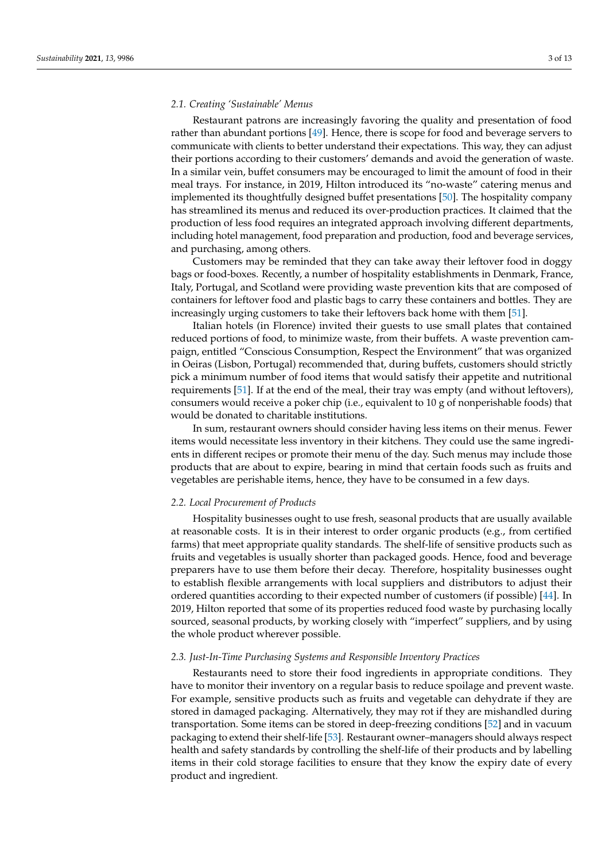## *2.1. Creating 'Sustainable' Menus*

Restaurant patrons are increasingly favoring the quality and presentation of food rather than abundant portions [\[49\]](#page-11-1). Hence, there is scope for food and beverage servers to communicate with clients to better understand their expectations. This way, they can adjust their portions according to their customers' demands and avoid the generation of waste. In a similar vein, buffet consumers may be encouraged to limit the amount of food in their meal trays. For instance, in 2019, Hilton introduced its "no-waste" catering menus and implemented its thoughtfully designed buffet presentations [\[50\]](#page-11-2). The hospitality company has streamlined its menus and reduced its over-production practices. It claimed that the production of less food requires an integrated approach involving different departments, including hotel management, food preparation and production, food and beverage services, and purchasing, among others.

Customers may be reminded that they can take away their leftover food in doggy bags or food-boxes. Recently, a number of hospitality establishments in Denmark, France, Italy, Portugal, and Scotland were providing waste prevention kits that are composed of containers for leftover food and plastic bags to carry these containers and bottles. They are increasingly urging customers to take their leftovers back home with them [\[51\]](#page-11-3).

Italian hotels (in Florence) invited their guests to use small plates that contained reduced portions of food, to minimize waste, from their buffets. A waste prevention campaign, entitled "Conscious Consumption, Respect the Environment" that was organized in Oeiras (Lisbon, Portugal) recommended that, during buffets, customers should strictly pick a minimum number of food items that would satisfy their appetite and nutritional requirements [\[51\]](#page-11-3). If at the end of the meal, their tray was empty (and without leftovers), consumers would receive a poker chip (i.e., equivalent to 10 g of nonperishable foods) that would be donated to charitable institutions.

In sum, restaurant owners should consider having less items on their menus. Fewer items would necessitate less inventory in their kitchens. They could use the same ingredients in different recipes or promote their menu of the day. Such menus may include those products that are about to expire, bearing in mind that certain foods such as fruits and vegetables are perishable items, hence, they have to be consumed in a few days.

#### *2.2. Local Procurement of Products*

Hospitality businesses ought to use fresh, seasonal products that are usually available at reasonable costs. It is in their interest to order organic products (e.g., from certified farms) that meet appropriate quality standards. The shelf-life of sensitive products such as fruits and vegetables is usually shorter than packaged goods. Hence, food and beverage preparers have to use them before their decay. Therefore, hospitality businesses ought to establish flexible arrangements with local suppliers and distributors to adjust their ordered quantities according to their expected number of customers (if possible) [\[44\]](#page-10-21). In 2019, Hilton reported that some of its properties reduced food waste by purchasing locally sourced, seasonal products, by working closely with "imperfect" suppliers, and by using the whole product wherever possible.

## *2.3. Just-In-Time Purchasing Systems and Responsible Inventory Practices*

Restaurants need to store their food ingredients in appropriate conditions. They have to monitor their inventory on a regular basis to reduce spoilage and prevent waste. For example, sensitive products such as fruits and vegetable can dehydrate if they are stored in damaged packaging. Alternatively, they may rot if they are mishandled during transportation. Some items can be stored in deep-freezing conditions [\[52\]](#page-11-4) and in vacuum packaging to extend their shelf-life [\[53\]](#page-11-5). Restaurant owner–managers should always respect health and safety standards by controlling the shelf-life of their products and by labelling items in their cold storage facilities to ensure that they know the expiry date of every product and ingredient.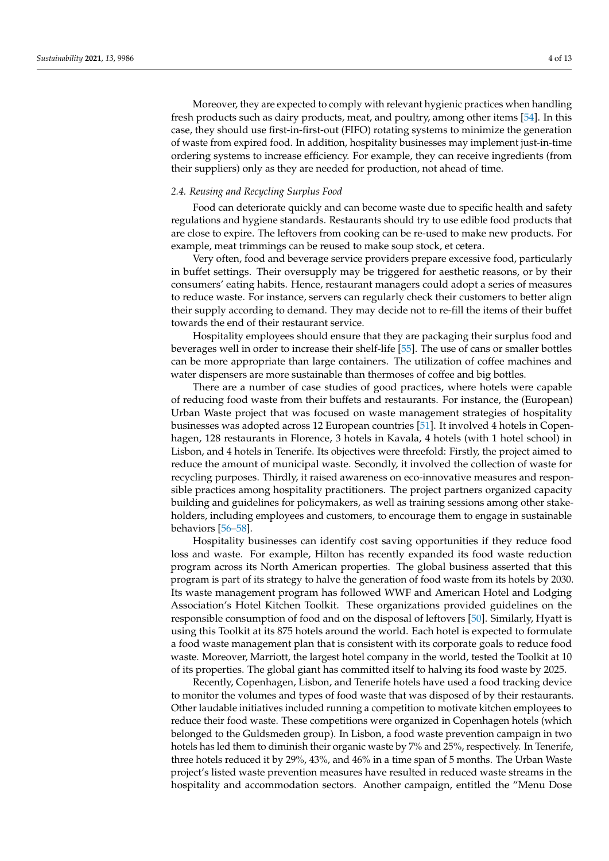Moreover, they are expected to comply with relevant hygienic practices when handling fresh products such as dairy products, meat, and poultry, among other items [\[54\]](#page-11-6). In this case, they should use first-in-first-out (FIFO) rotating systems to minimize the generation of waste from expired food. In addition, hospitality businesses may implement just-in-time ordering systems to increase efficiency. For example, they can receive ingredients (from their suppliers) only as they are needed for production, not ahead of time.

#### *2.4. Reusing and Recycling Surplus Food*

Food can deteriorate quickly and can become waste due to specific health and safety regulations and hygiene standards. Restaurants should try to use edible food products that are close to expire. The leftovers from cooking can be re-used to make new products. For example, meat trimmings can be reused to make soup stock, et cetera.

Very often, food and beverage service providers prepare excessive food, particularly in buffet settings. Their oversupply may be triggered for aesthetic reasons, or by their consumers' eating habits. Hence, restaurant managers could adopt a series of measures to reduce waste. For instance, servers can regularly check their customers to better align their supply according to demand. They may decide not to re-fill the items of their buffet towards the end of their restaurant service.

Hospitality employees should ensure that they are packaging their surplus food and beverages well in order to increase their shelf-life [\[55\]](#page-11-7). The use of cans or smaller bottles can be more appropriate than large containers. The utilization of coffee machines and water dispensers are more sustainable than thermoses of coffee and big bottles.

There are a number of case studies of good practices, where hotels were capable of reducing food waste from their buffets and restaurants. For instance, the (European) Urban Waste project that was focused on waste management strategies of hospitality businesses was adopted across 12 European countries [\[51\]](#page-11-3). It involved 4 hotels in Copenhagen, 128 restaurants in Florence, 3 hotels in Kavala, 4 hotels (with 1 hotel school) in Lisbon, and 4 hotels in Tenerife. Its objectives were threefold: Firstly, the project aimed to reduce the amount of municipal waste. Secondly, it involved the collection of waste for recycling purposes. Thirdly, it raised awareness on eco-innovative measures and responsible practices among hospitality practitioners. The project partners organized capacity building and guidelines for policymakers, as well as training sessions among other stakeholders, including employees and customers, to encourage them to engage in sustainable behaviors [\[56](#page-11-8)[–58\]](#page-11-9).

Hospitality businesses can identify cost saving opportunities if they reduce food loss and waste. For example, Hilton has recently expanded its food waste reduction program across its North American properties. The global business asserted that this program is part of its strategy to halve the generation of food waste from its hotels by 2030. Its waste management program has followed WWF and American Hotel and Lodging Association's Hotel Kitchen Toolkit. These organizations provided guidelines on the responsible consumption of food and on the disposal of leftovers [\[50\]](#page-11-2). Similarly, Hyatt is using this Toolkit at its 875 hotels around the world. Each hotel is expected to formulate a food waste management plan that is consistent with its corporate goals to reduce food waste. Moreover, Marriott, the largest hotel company in the world, tested the Toolkit at 10 of its properties. The global giant has committed itself to halving its food waste by 2025.

Recently, Copenhagen, Lisbon, and Tenerife hotels have used a food tracking device to monitor the volumes and types of food waste that was disposed of by their restaurants. Other laudable initiatives included running a competition to motivate kitchen employees to reduce their food waste. These competitions were organized in Copenhagen hotels (which belonged to the Guldsmeden group). In Lisbon, a food waste prevention campaign in two hotels has led them to diminish their organic waste by 7% and 25%, respectively. In Tenerife, three hotels reduced it by 29%, 43%, and 46% in a time span of 5 months. The Urban Waste project's listed waste prevention measures have resulted in reduced waste streams in the hospitality and accommodation sectors. Another campaign, entitled the "Menu Dose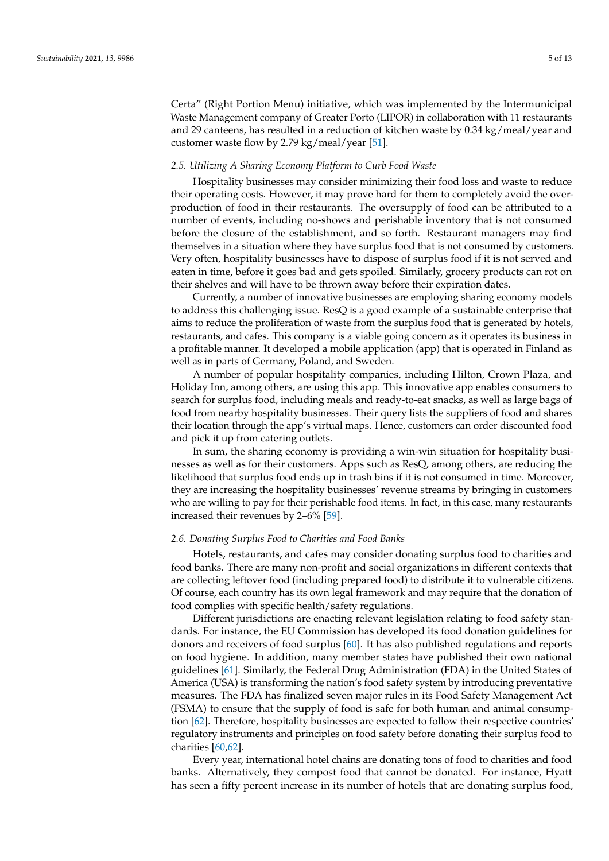Certa" (Right Portion Menu) initiative, which was implemented by the Intermunicipal Waste Management company of Greater Porto (LIPOR) in collaboration with 11 restaurants and 29 canteens, has resulted in a reduction of kitchen waste by 0.34 kg/meal/year and customer waste flow by 2.79 kg/meal/year [\[51\]](#page-11-3).

## *2.5. Utilizing A Sharing Economy Platform to Curb Food Waste*

Hospitality businesses may consider minimizing their food loss and waste to reduce their operating costs. However, it may prove hard for them to completely avoid the overproduction of food in their restaurants. The oversupply of food can be attributed to a number of events, including no-shows and perishable inventory that is not consumed before the closure of the establishment, and so forth. Restaurant managers may find themselves in a situation where they have surplus food that is not consumed by customers. Very often, hospitality businesses have to dispose of surplus food if it is not served and eaten in time, before it goes bad and gets spoiled. Similarly, grocery products can rot on their shelves and will have to be thrown away before their expiration dates.

Currently, a number of innovative businesses are employing sharing economy models to address this challenging issue. ResQ is a good example of a sustainable enterprise that aims to reduce the proliferation of waste from the surplus food that is generated by hotels, restaurants, and cafes. This company is a viable going concern as it operates its business in a profitable manner. It developed a mobile application (app) that is operated in Finland as well as in parts of Germany, Poland, and Sweden.

A number of popular hospitality companies, including Hilton, Crown Plaza, and Holiday Inn, among others, are using this app. This innovative app enables consumers to search for surplus food, including meals and ready-to-eat snacks, as well as large bags of food from nearby hospitality businesses. Their query lists the suppliers of food and shares their location through the app's virtual maps. Hence, customers can order discounted food and pick it up from catering outlets.

In sum, the sharing economy is providing a win-win situation for hospitality businesses as well as for their customers. Apps such as ResQ, among others, are reducing the likelihood that surplus food ends up in trash bins if it is not consumed in time. Moreover, they are increasing the hospitality businesses' revenue streams by bringing in customers who are willing to pay for their perishable food items. In fact, in this case, many restaurants increased their revenues by 2–6% [\[59\]](#page-11-10).

#### *2.6. Donating Surplus Food to Charities and Food Banks*

Hotels, restaurants, and cafes may consider donating surplus food to charities and food banks. There are many non-profit and social organizations in different contexts that are collecting leftover food (including prepared food) to distribute it to vulnerable citizens. Of course, each country has its own legal framework and may require that the donation of food complies with specific health/safety regulations.

Different jurisdictions are enacting relevant legislation relating to food safety standards. For instance, the EU Commission has developed its food donation guidelines for donors and receivers of food surplus [\[60\]](#page-11-11). It has also published regulations and reports on food hygiene. In addition, many member states have published their own national guidelines [\[61\]](#page-11-12). Similarly, the Federal Drug Administration (FDA) in the United States of America (USA) is transforming the nation's food safety system by introducing preventative measures. The FDA has finalized seven major rules in its Food Safety Management Act (FSMA) to ensure that the supply of food is safe for both human and animal consumption [\[62\]](#page-11-13). Therefore, hospitality businesses are expected to follow their respective countries' regulatory instruments and principles on food safety before donating their surplus food to charities [\[60,](#page-11-11)[62\]](#page-11-13).

Every year, international hotel chains are donating tons of food to charities and food banks. Alternatively, they compost food that cannot be donated. For instance, Hyatt has seen a fifty percent increase in its number of hotels that are donating surplus food,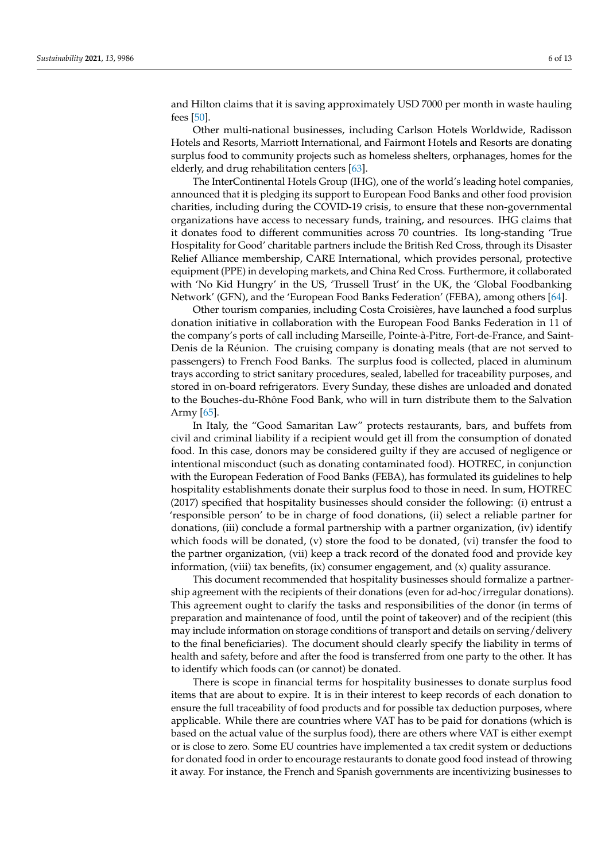and Hilton claims that it is saving approximately USD 7000 per month in waste hauling fees [\[50\]](#page-11-2).

Other multi-national businesses, including Carlson Hotels Worldwide, Radisson Hotels and Resorts, Marriott International, and Fairmont Hotels and Resorts are donating surplus food to community projects such as homeless shelters, orphanages, homes for the elderly, and drug rehabilitation centers [\[63\]](#page-11-14).

The InterContinental Hotels Group (IHG), one of the world's leading hotel companies, announced that it is pledging its support to European Food Banks and other food provision charities, including during the COVID-19 crisis, to ensure that these non-governmental organizations have access to necessary funds, training, and resources. IHG claims that it donates food to different communities across 70 countries. Its long-standing 'True Hospitality for Good' charitable partners include the British Red Cross, through its Disaster Relief Alliance membership, CARE International, which provides personal, protective equipment (PPE) in developing markets, and China Red Cross. Furthermore, it collaborated with 'No Kid Hungry' in the US, 'Trussell Trust' in the UK, the 'Global Foodbanking Network' (GFN), and the 'European Food Banks Federation' (FEBA), among others [\[64\]](#page-11-15).

Other tourism companies, including Costa Croisières, have launched a food surplus donation initiative in collaboration with the European Food Banks Federation in 11 of the company's ports of call including Marseille, Pointe-à-Pitre, Fort-de-France, and Saint-Denis de la Réunion. The cruising company is donating meals (that are not served to passengers) to French Food Banks. The surplus food is collected, placed in aluminum trays according to strict sanitary procedures, sealed, labelled for traceability purposes, and stored in on-board refrigerators. Every Sunday, these dishes are unloaded and donated to the Bouches-du-Rhône Food Bank, who will in turn distribute them to the Salvation Army [\[65\]](#page-11-16).

In Italy, the "Good Samaritan Law" protects restaurants, bars, and buffets from civil and criminal liability if a recipient would get ill from the consumption of donated food. In this case, donors may be considered guilty if they are accused of negligence or intentional misconduct (such as donating contaminated food). HOTREC, in conjunction with the European Federation of Food Banks (FEBA), has formulated its guidelines to help hospitality establishments donate their surplus food to those in need. In sum, HOTREC (2017) specified that hospitality businesses should consider the following: (i) entrust a 'responsible person' to be in charge of food donations, (ii) select a reliable partner for donations, (iii) conclude a formal partnership with a partner organization, (iv) identify which foods will be donated, (v) store the food to be donated, (vi) transfer the food to the partner organization, (vii) keep a track record of the donated food and provide key information, (viii) tax benefits,  $(ix)$  consumer engagement, and  $(x)$  quality assurance.

This document recommended that hospitality businesses should formalize a partnership agreement with the recipients of their donations (even for ad-hoc/irregular donations). This agreement ought to clarify the tasks and responsibilities of the donor (in terms of preparation and maintenance of food, until the point of takeover) and of the recipient (this may include information on storage conditions of transport and details on serving/delivery to the final beneficiaries). The document should clearly specify the liability in terms of health and safety, before and after the food is transferred from one party to the other. It has to identify which foods can (or cannot) be donated.

There is scope in financial terms for hospitality businesses to donate surplus food items that are about to expire. It is in their interest to keep records of each donation to ensure the full traceability of food products and for possible tax deduction purposes, where applicable. While there are countries where VAT has to be paid for donations (which is based on the actual value of the surplus food), there are others where VAT is either exempt or is close to zero. Some EU countries have implemented a tax credit system or deductions for donated food in order to encourage restaurants to donate good food instead of throwing it away. For instance, the French and Spanish governments are incentivizing businesses to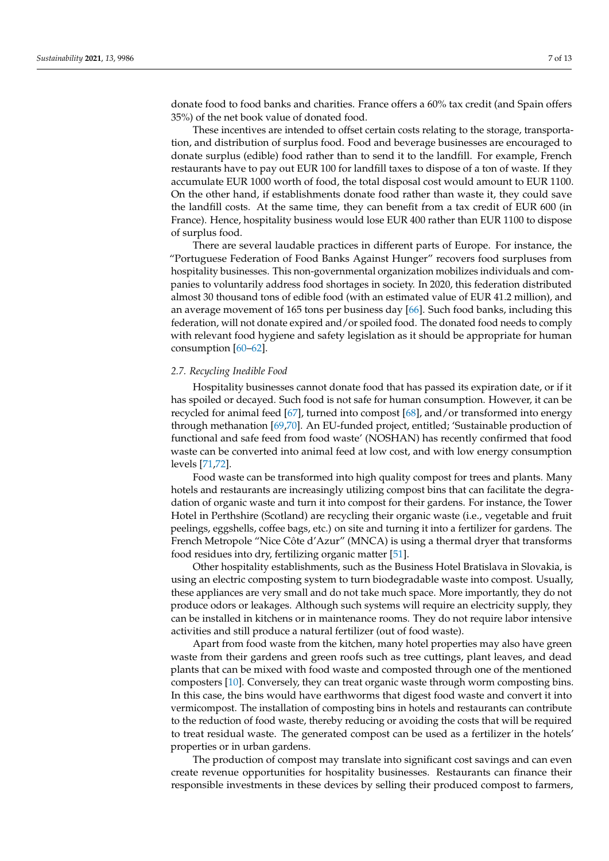donate food to food banks and charities. France offers a 60% tax credit (and Spain offers 35%) of the net book value of donated food.

These incentives are intended to offset certain costs relating to the storage, transportation, and distribution of surplus food. Food and beverage businesses are encouraged to donate surplus (edible) food rather than to send it to the landfill. For example, French restaurants have to pay out EUR 100 for landfill taxes to dispose of a ton of waste. If they accumulate EUR 1000 worth of food, the total disposal cost would amount to EUR 1100. On the other hand, if establishments donate food rather than waste it, they could save the landfill costs. At the same time, they can benefit from a tax credit of EUR 600 (in France). Hence, hospitality business would lose EUR 400 rather than EUR 1100 to dispose of surplus food.

There are several laudable practices in different parts of Europe. For instance, the "Portuguese Federation of Food Banks Against Hunger" recovers food surpluses from hospitality businesses. This non-governmental organization mobilizes individuals and companies to voluntarily address food shortages in society. In 2020, this federation distributed almost 30 thousand tons of edible food (with an estimated value of EUR 41.2 million), and an average movement of 165 tons per business day [\[66\]](#page-11-17). Such food banks, including this federation, will not donate expired and/or spoiled food. The donated food needs to comply with relevant food hygiene and safety legislation as it should be appropriate for human consumption [\[60](#page-11-11)[–62\]](#page-11-13).

#### *2.7. Recycling Inedible Food*

Hospitality businesses cannot donate food that has passed its expiration date, or if it has spoiled or decayed. Such food is not safe for human consumption. However, it can be recycled for animal feed [\[67\]](#page-11-18), turned into compost [\[68\]](#page-11-19), and/or transformed into energy through methanation [\[69](#page-11-20)[,70\]](#page-11-21). An EU-funded project, entitled; 'Sustainable production of functional and safe feed from food waste' (NOSHAN) has recently confirmed that food waste can be converted into animal feed at low cost, and with low energy consumption levels [\[71,](#page-11-22)[72\]](#page-12-0).

Food waste can be transformed into high quality compost for trees and plants. Many hotels and restaurants are increasingly utilizing compost bins that can facilitate the degradation of organic waste and turn it into compost for their gardens. For instance, the Tower Hotel in Perthshire (Scotland) are recycling their organic waste (i.e., vegetable and fruit peelings, eggshells, coffee bags, etc.) on site and turning it into a fertilizer for gardens. The French Metropole "Nice Côte d'Azur" (MNCA) is using a thermal dryer that transforms food residues into dry, fertilizing organic matter [\[51\]](#page-11-3).

Other hospitality establishments, such as the Business Hotel Bratislava in Slovakia, is using an electric composting system to turn biodegradable waste into compost. Usually, these appliances are very small and do not take much space. More importantly, they do not produce odors or leakages. Although such systems will require an electricity supply, they can be installed in kitchens or in maintenance rooms. They do not require labor intensive activities and still produce a natural fertilizer (out of food waste).

Apart from food waste from the kitchen, many hotel properties may also have green waste from their gardens and green roofs such as tree cuttings, plant leaves, and dead plants that can be mixed with food waste and composted through one of the mentioned composters [\[10\]](#page-9-6). Conversely, they can treat organic waste through worm composting bins. In this case, the bins would have earthworms that digest food waste and convert it into vermicompost. The installation of composting bins in hotels and restaurants can contribute to the reduction of food waste, thereby reducing or avoiding the costs that will be required to treat residual waste. The generated compost can be used as a fertilizer in the hotels' properties or in urban gardens.

The production of compost may translate into significant cost savings and can even create revenue opportunities for hospitality businesses. Restaurants can finance their responsible investments in these devices by selling their produced compost to farmers,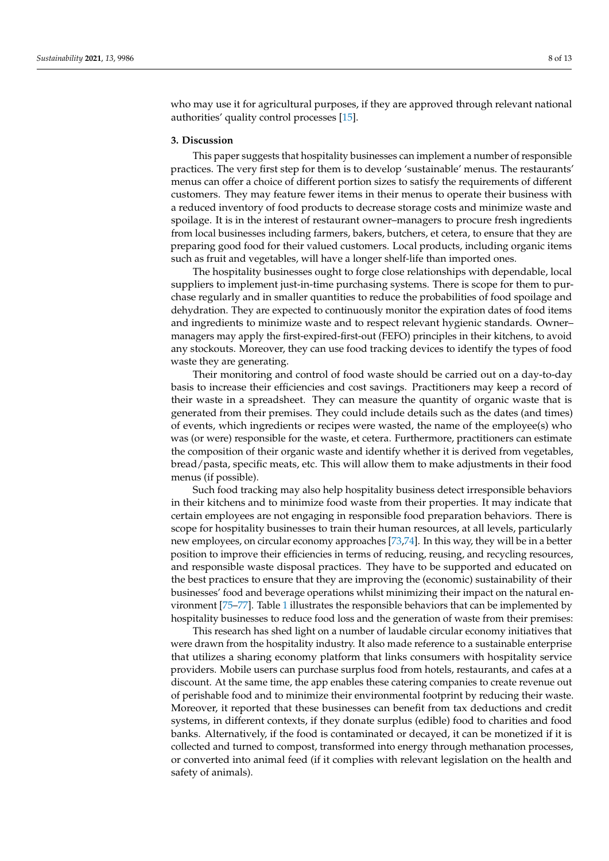who may use it for agricultural purposes, if they are approved through relevant national authorities' quality control processes [\[15\]](#page-9-10).

## **3. Discussion**

This paper suggests that hospitality businesses can implement a number of responsible practices. The very first step for them is to develop 'sustainable' menus. The restaurants' menus can offer a choice of different portion sizes to satisfy the requirements of different customers. They may feature fewer items in their menus to operate their business with a reduced inventory of food products to decrease storage costs and minimize waste and spoilage. It is in the interest of restaurant owner–managers to procure fresh ingredients from local businesses including farmers, bakers, butchers, et cetera, to ensure that they are preparing good food for their valued customers. Local products, including organic items such as fruit and vegetables, will have a longer shelf-life than imported ones.

The hospitality businesses ought to forge close relationships with dependable, local suppliers to implement just-in-time purchasing systems. There is scope for them to purchase regularly and in smaller quantities to reduce the probabilities of food spoilage and dehydration. They are expected to continuously monitor the expiration dates of food items and ingredients to minimize waste and to respect relevant hygienic standards. Owner– managers may apply the first-expired-first-out (FEFO) principles in their kitchens, to avoid any stockouts. Moreover, they can use food tracking devices to identify the types of food waste they are generating.

Their monitoring and control of food waste should be carried out on a day-to-day basis to increase their efficiencies and cost savings. Practitioners may keep a record of their waste in a spreadsheet. They can measure the quantity of organic waste that is generated from their premises. They could include details such as the dates (and times) of events, which ingredients or recipes were wasted, the name of the employee(s) who was (or were) responsible for the waste, et cetera. Furthermore, practitioners can estimate the composition of their organic waste and identify whether it is derived from vegetables, bread/pasta, specific meats, etc. This will allow them to make adjustments in their food menus (if possible).

Such food tracking may also help hospitality business detect irresponsible behaviors in their kitchens and to minimize food waste from their properties. It may indicate that certain employees are not engaging in responsible food preparation behaviors. There is scope for hospitality businesses to train their human resources, at all levels, particularly new employees, on circular economy approaches [\[73](#page-12-1)[,74\]](#page-12-2). In this way, they will be in a better position to improve their efficiencies in terms of reducing, reusing, and recycling resources, and responsible waste disposal practices. They have to be supported and educated on the best practices to ensure that they are improving the (economic) sustainability of their businesses' food and beverage operations whilst minimizing their impact on the natural environment [\[75–](#page-12-3)[77\]](#page-12-4). Table [1](#page-8-0) illustrates the responsible behaviors that can be implemented by hospitality businesses to reduce food loss and the generation of waste from their premises:

This research has shed light on a number of laudable circular economy initiatives that were drawn from the hospitality industry. It also made reference to a sustainable enterprise that utilizes a sharing economy platform that links consumers with hospitality service providers. Mobile users can purchase surplus food from hotels, restaurants, and cafes at a discount. At the same time, the app enables these catering companies to create revenue out of perishable food and to minimize their environmental footprint by reducing their waste. Moreover, it reported that these businesses can benefit from tax deductions and credit systems, in different contexts, if they donate surplus (edible) food to charities and food banks. Alternatively, if the food is contaminated or decayed, it can be monetized if it is collected and turned to compost, transformed into energy through methanation processes, or converted into animal feed (if it complies with relevant legislation on the health and safety of animals).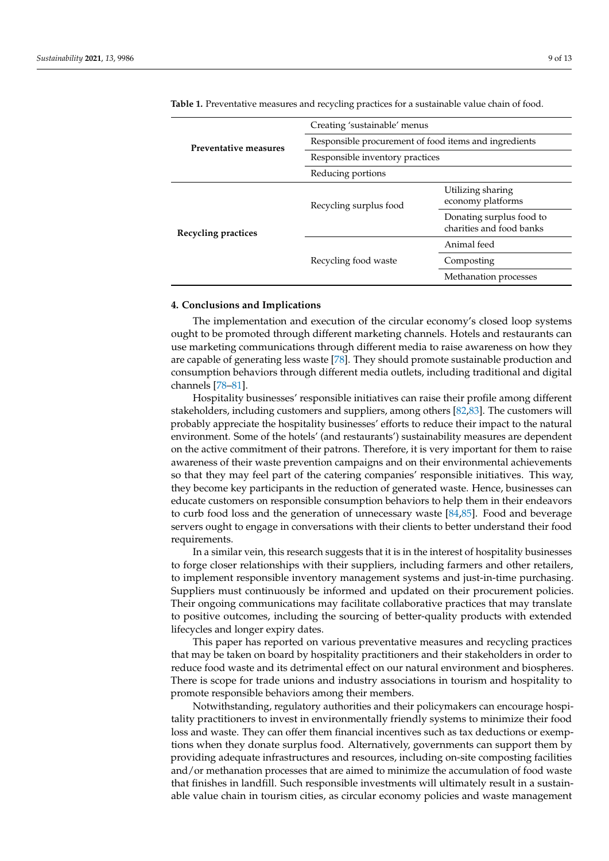| Preventative measures | Creating 'sustainable' menus                          |                                                      |
|-----------------------|-------------------------------------------------------|------------------------------------------------------|
|                       | Responsible procurement of food items and ingredients |                                                      |
|                       | Responsible inventory practices                       |                                                      |
|                       | Reducing portions                                     |                                                      |
| Recycling practices   | Recycling surplus food                                | Utilizing sharing<br>economy platforms               |
|                       |                                                       | Donating surplus food to<br>charities and food banks |
|                       | Recycling food waste                                  | Animal feed                                          |
|                       |                                                       | Composting                                           |
|                       |                                                       | Methanation processes                                |

<span id="page-8-0"></span>**Table 1.** Preventative measures and recycling practices for a sustainable value chain of food.

## **4. Conclusions and Implications**

The implementation and execution of the circular economy's closed loop systems ought to be promoted through different marketing channels. Hotels and restaurants can use marketing communications through different media to raise awareness on how they are capable of generating less waste [\[78\]](#page-12-5). They should promote sustainable production and consumption behaviors through different media outlets, including traditional and digital channels [\[78–](#page-12-5)[81\]](#page-12-6).

Hospitality businesses' responsible initiatives can raise their profile among different stakeholders, including customers and suppliers, among others [\[82,](#page-12-7)[83\]](#page-12-8). The customers will probably appreciate the hospitality businesses' efforts to reduce their impact to the natural environment. Some of the hotels' (and restaurants') sustainability measures are dependent on the active commitment of their patrons. Therefore, it is very important for them to raise awareness of their waste prevention campaigns and on their environmental achievements so that they may feel part of the catering companies' responsible initiatives. This way, they become key participants in the reduction of generated waste. Hence, businesses can educate customers on responsible consumption behaviors to help them in their endeavors to curb food loss and the generation of unnecessary waste [\[84](#page-12-9)[,85\]](#page-12-10). Food and beverage servers ought to engage in conversations with their clients to better understand their food requirements.

In a similar vein, this research suggests that it is in the interest of hospitality businesses to forge closer relationships with their suppliers, including farmers and other retailers, to implement responsible inventory management systems and just-in-time purchasing. Suppliers must continuously be informed and updated on their procurement policies. Their ongoing communications may facilitate collaborative practices that may translate to positive outcomes, including the sourcing of better-quality products with extended lifecycles and longer expiry dates.

This paper has reported on various preventative measures and recycling practices that may be taken on board by hospitality practitioners and their stakeholders in order to reduce food waste and its detrimental effect on our natural environment and biospheres. There is scope for trade unions and industry associations in tourism and hospitality to promote responsible behaviors among their members.

Notwithstanding, regulatory authorities and their policymakers can encourage hospitality practitioners to invest in environmentally friendly systems to minimize their food loss and waste. They can offer them financial incentives such as tax deductions or exemptions when they donate surplus food. Alternatively, governments can support them by providing adequate infrastructures and resources, including on-site composting facilities and/or methanation processes that are aimed to minimize the accumulation of food waste that finishes in landfill. Such responsible investments will ultimately result in a sustainable value chain in tourism cities, as circular economy policies and waste management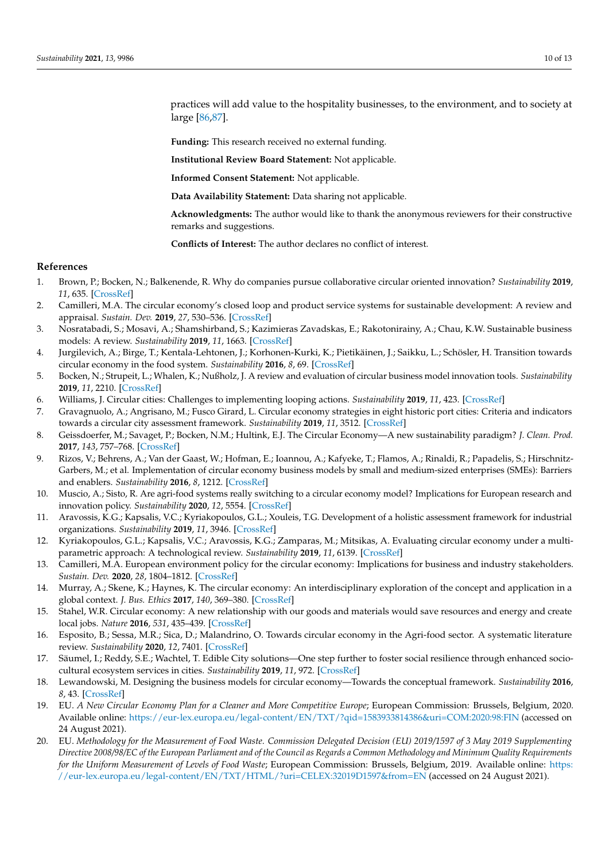practices will add value to the hospitality businesses, to the environment, and to society at large [\[86](#page-12-11)[,87\]](#page-12-12).

**Funding:** This research received no external funding.

**Institutional Review Board Statement:** Not applicable.

**Informed Consent Statement:** Not applicable.

**Data Availability Statement:** Data sharing not applicable.

**Acknowledgments:** The author would like to thank the anonymous reviewers for their constructive remarks and suggestions.

**Conflicts of Interest:** The author declares no conflict of interest.

#### **References**

- <span id="page-9-0"></span>1. Brown, P.; Bocken, N.; Balkenende, R. Why do companies pursue collaborative circular oriented innovation? *Sustainability* **2019**, *11*, 635. [\[CrossRef\]](http://doi.org/10.3390/su11030635)
- <span id="page-9-14"></span>2. Camilleri, M.A. The circular economy's closed loop and product service systems for sustainable development: A review and appraisal. *Sustain. Dev.* **2019**, *27*, 530–536. [\[CrossRef\]](http://doi.org/10.1002/sd.1909)
- 3. Nosratabadi, S.; Mosavi, A.; Shamshirband, S.; Kazimieras Zavadskas, E.; Rakotonirainy, A.; Chau, K.W. Sustainable business models: A review. *Sustainability* **2019**, *11*, 1663. [\[CrossRef\]](http://doi.org/10.3390/su11061663)
- <span id="page-9-1"></span>4. Jurgilevich, A.; Birge, T.; Kentala-Lehtonen, J.; Korhonen-Kurki, K.; Pietikäinen, J.; Saikku, L.; Schösler, H. Transition towards circular economy in the food system. *Sustainability* **2016**, *8*, 69. [\[CrossRef\]](http://doi.org/10.3390/su8010069)
- <span id="page-9-2"></span>5. Bocken, N.; Strupeit, L.; Whalen, K.; Nußholz, J. A review and evaluation of circular business model innovation tools. *Sustainability* **2019**, *11*, 2210. [\[CrossRef\]](http://doi.org/10.3390/su11082210)
- 6. Williams, J. Circular cities: Challenges to implementing looping actions. *Sustainability* **2019**, *11*, 423. [\[CrossRef\]](http://doi.org/10.3390/su11020423)
- <span id="page-9-3"></span>7. Gravagnuolo, A.; Angrisano, M.; Fusco Girard, L. Circular economy strategies in eight historic port cities: Criteria and indicators towards a circular city assessment framework. *Sustainability* **2019**, *11*, 3512. [\[CrossRef\]](http://doi.org/10.3390/su11133512)
- <span id="page-9-4"></span>8. Geissdoerfer, M.; Savaget, P.; Bocken, N.M.; Hultink, E.J. The Circular Economy—A new sustainability paradigm? *J. Clean. Prod.* **2017**, *143*, 757–768. [\[CrossRef\]](http://doi.org/10.1016/j.jclepro.2016.12.048)
- <span id="page-9-5"></span>9. Rizos, V.; Behrens, A.; Van der Gaast, W.; Hofman, E.; Ioannou, A.; Kafyeke, T.; Flamos, A.; Rinaldi, R.; Papadelis, S.; Hirschnitz-Garbers, M.; et al. Implementation of circular economy business models by small and medium-sized enterprises (SMEs): Barriers and enablers. *Sustainability* **2016**, *8*, 1212. [\[CrossRef\]](http://doi.org/10.3390/su8111212)
- <span id="page-9-6"></span>10. Muscio, A.; Sisto, R. Are agri-food systems really switching to a circular economy model? Implications for European research and innovation policy. *Sustainability* **2020**, *12*, 5554. [\[CrossRef\]](http://doi.org/10.3390/su12145554)
- 11. Aravossis, K.G.; Kapsalis, V.C.; Kyriakopoulos, G.L.; Xouleis, T.G. Development of a holistic assessment framework for industrial organizations. *Sustainability* **2019**, *11*, 3946. [\[CrossRef\]](http://doi.org/10.3390/su11143946)
- <span id="page-9-7"></span>12. Kyriakopoulos, G.L.; Kapsalis, V.C.; Aravossis, K.G.; Zamparas, M.; Mitsikas, A. Evaluating circular economy under a multiparametric approach: A technological review. *Sustainability* **2019**, *11*, 6139. [\[CrossRef\]](http://doi.org/10.3390/su11216139)
- <span id="page-9-8"></span>13. Camilleri, M.A. European environment policy for the circular economy: Implications for business and industry stakeholders. *Sustain. Dev.* **2020**, *28*, 1804–1812. [\[CrossRef\]](http://doi.org/10.1002/sd.2113)
- <span id="page-9-9"></span>14. Murray, A.; Skene, K.; Haynes, K. The circular economy: An interdisciplinary exploration of the concept and application in a global context. *J. Bus. Ethics* **2017**, *140*, 369–380. [\[CrossRef\]](http://doi.org/10.1007/s10551-015-2693-2)
- <span id="page-9-10"></span>15. Stahel, W.R. Circular economy: A new relationship with our goods and materials would save resources and energy and create local jobs. *Nature* **2016**, *531*, 435–439. [\[CrossRef\]](http://doi.org/10.1038/531435a)
- <span id="page-9-11"></span>16. Esposito, B.; Sessa, M.R.; Sica, D.; Malandrino, O. Towards circular economy in the Agri-food sector. A systematic literature review. *Sustainability* **2020**, *12*, 7401. [\[CrossRef\]](http://doi.org/10.3390/su12187401)
- 17. Säumel, I.; Reddy, S.E.; Wachtel, T. Edible City solutions—One step further to foster social resilience through enhanced sociocultural ecosystem services in cities. *Sustainability* **2019**, *11*, 972. [\[CrossRef\]](http://doi.org/10.3390/su11040972)
- <span id="page-9-12"></span>18. Lewandowski, M. Designing the business models for circular economy—Towards the conceptual framework. *Sustainability* **2016**, *8*, 43. [\[CrossRef\]](http://doi.org/10.3390/su8010043)
- <span id="page-9-13"></span>19. EU. *A New Circular Economy Plan for a Cleaner and More Competitive Europe*; European Commission: Brussels, Belgium, 2020. Available online: <https://eur-lex.europa.eu/legal-content/EN/TXT/?qid=1583933814386&uri=COM:2020:98:FIN> (accessed on 24 August 2021).
- 20. EU. *Methodology for the Measurement of Food Waste. Commission Delegated Decision (EU) 2019/1597 of 3 May 2019 Supplementing Directive 2008/98/EC of the European Parliament and of the Council as Regards a Common Methodology and Minimum Quality Requirements for the Uniform Measurement of Levels of Food Waste*; European Commission: Brussels, Belgium, 2019. Available online: [https:](https://eur-lex.europa.eu/legal-content/EN/TXT/HTML/?uri=CELEX:32019D1597&from=EN) [//eur-lex.europa.eu/legal-content/EN/TXT/HTML/?uri=CELEX:32019D1597&from=EN](https://eur-lex.europa.eu/legal-content/EN/TXT/HTML/?uri=CELEX:32019D1597&from=EN) (accessed on 24 August 2021).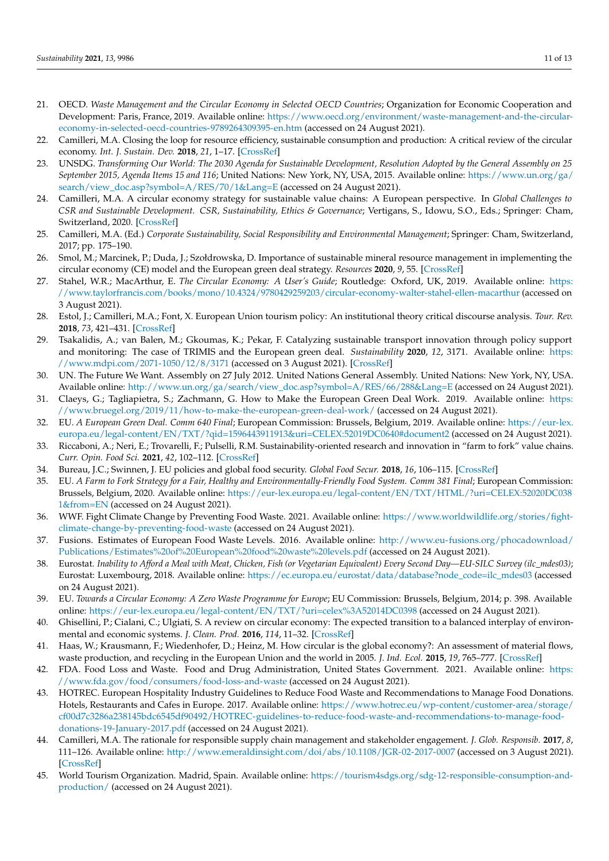- 21. OECD. *Waste Management and the Circular Economy in Selected OECD Countries*; Organization for Economic Cooperation and Development: Paris, France, 2019. Available online: [https://www.oecd.org/environment/waste-management-and-the-circular](https://www.oecd.org/environment/waste-management-and-the-circular-economy-in-selected-oecd-countries-9789264309395-en.htm)[economy-in-selected-oecd-countries-9789264309395-en.htm](https://www.oecd.org/environment/waste-management-and-the-circular-economy-in-selected-oecd-countries-9789264309395-en.htm) (accessed on 24 August 2021).
- <span id="page-10-17"></span>22. Camilleri, M.A. Closing the loop for resource efficiency, sustainable consumption and production: A critical review of the circular economy. *Int. J. Sustain. Dev.* **2018**, *21*, 1–17. [\[CrossRef\]](http://doi.org/10.1504/IJSD.2018.10012310)
- 23. UNSDG. *Transforming Our World: The 2030 Agenda for Sustainable Development, Resolution Adopted by the General Assembly on 25 September 2015, Agenda Items 15 and 116*; United Nations: New York, NY, USA, 2015. Available online: [https://www.un.org/ga/](https://www.un.org/ga/search/view_doc.asp?symbol=A/RES/70/1&Lang=E) [search/view\\_doc.asp?symbol=A/RES/70/1&Lang=E](https://www.un.org/ga/search/view_doc.asp?symbol=A/RES/70/1&Lang=E) (accessed on 24 August 2021).
- <span id="page-10-18"></span>24. Camilleri, M.A. A circular economy strategy for sustainable value chains: A European perspective. In *Global Challenges to CSR and Sustainable Development. CSR, Sustainability, Ethics & Governance*; Vertigans, S., Idowu, S.O., Eds.; Springer: Cham, Switzerland, 2020. [\[CrossRef\]](http://doi.org/10.1007/978-3-030-62501-6_7)
- <span id="page-10-0"></span>25. Camilleri, M.A. (Ed.) *Corporate Sustainability, Social Responsibility and Environmental Management*; Springer: Cham, Switzerland, 2017; pp. 175–190.
- <span id="page-10-1"></span>26. Smol, M.; Marcinek, P.; Duda, J.; Szołdrowska, D. Importance of sustainable mineral resource management in implementing the circular economy (CE) model and the European green deal strategy. *Resources* **2020**, *9*, 55. [\[CrossRef\]](http://doi.org/10.3390/resources9050055)
- <span id="page-10-14"></span>27. Stahel, W.R.; MacArthur, E. *The Circular Economy: A User's Guide*; Routledge: Oxford, UK, 2019. Available online: [https:](https://www.taylorfrancis.com/books/mono/10.4324/9780429259203/circular-economy-walter-stahel-ellen-macarthur) [//www.taylorfrancis.com/books/mono/10.4324/9780429259203/circular-economy-walter-stahel-ellen-macarthur](https://www.taylorfrancis.com/books/mono/10.4324/9780429259203/circular-economy-walter-stahel-ellen-macarthur) (accessed on 3 August 2021).
- <span id="page-10-2"></span>28. Estol, J.; Camilleri, M.A.; Font, X. European Union tourism policy: An institutional theory critical discourse analysis. *Tour. Rev.* **2018**, *73*, 421–431. [\[CrossRef\]](http://doi.org/10.1108/TR-11-2017-0167)
- <span id="page-10-3"></span>29. Tsakalidis, A.; van Balen, M.; Gkoumas, K.; Pekar, F. Catalyzing sustainable transport innovation through policy support and monitoring: The case of TRIMIS and the European green deal. *Sustainability* **2020**, *12*, 3171. Available online: [https:](https://www.mdpi.com/2071-1050/12/8/3171) [//www.mdpi.com/2071-1050/12/8/3171](https://www.mdpi.com/2071-1050/12/8/3171) (accessed on 3 August 2021). [\[CrossRef\]](http://doi.org/10.3390/su12083171)
- <span id="page-10-4"></span>30. UN. The Future We Want. Assembly on 27 July 2012. United Nations General Assembly. United Nations: New York, NY, USA. Available online: [http://www.un.org/ga/search/view\\_doc.asp?symbol=A/RES/66/288&Lang=E](http://www.un.org/ga/search/view_doc.asp?symbol=A/RES/66/288&Lang=E) (accessed on 24 August 2021).
- <span id="page-10-5"></span>31. Claeys, G.; Tagliapietra, S.; Zachmann, G. How to Make the European Green Deal Work. 2019. Available online: [https:](https://www.bruegel.org/2019/11/how-to-make-the-european-green-deal-work/) [//www.bruegel.org/2019/11/how-to-make-the-european-green-deal-work/](https://www.bruegel.org/2019/11/how-to-make-the-european-green-deal-work/) (accessed on 24 August 2021).
- <span id="page-10-6"></span>32. EU. *A European Green Deal. Comm 640 Final*; European Commission: Brussels, Belgium, 2019. Available online: [https://eur-lex.](https://eur-lex.europa.eu/legal-content/EN/TXT/?qid=1596443911913&uri=CELEX:52019DC0640#document2) [europa.eu/legal-content/EN/TXT/?qid=1596443911913&uri=CELEX:52019DC0640#document2](https://eur-lex.europa.eu/legal-content/EN/TXT/?qid=1596443911913&uri=CELEX:52019DC0640#document2) (accessed on 24 August 2021).
- <span id="page-10-7"></span>33. Riccaboni, A.; Neri, E.; Trovarelli, F.; Pulselli, R.M. Sustainability-oriented research and innovation in "farm to fork" value chains. *Curr. Opin. Food Sci.* **2021**, *42*, 102–112. [\[CrossRef\]](http://doi.org/10.1016/j.cofs.2021.04.006)
- <span id="page-10-8"></span>34. Bureau, J.C.; Swinnen, J. EU policies and global food security. *Global Food Secur.* **2018**, *16*, 106–115. [\[CrossRef\]](http://doi.org/10.1016/j.gfs.2017.12.001)
- <span id="page-10-9"></span>35. EU. *A Farm to Fork Strategy for a Fair, Healthy and Environmentally-Friendly Food System. Comm 381 Final*; European Commission: Brussels, Belgium, 2020. Available online: [https://eur-lex.europa.eu/legal-content/EN/TXT/HTML/?uri=CELEX:52020DC038](https://eur-lex.europa.eu/legal-content/EN/TXT/HTML/?uri=CELEX:52020DC0381&from=EN) [1&from=EN](https://eur-lex.europa.eu/legal-content/EN/TXT/HTML/?uri=CELEX:52020DC0381&from=EN) (accessed on 24 August 2021).
- <span id="page-10-10"></span>36. WWF. Fight Climate Change by Preventing Food Waste. 2021. Available online: [https://www.worldwildlife.org/stories/fight](https://www.worldwildlife.org/stories/fight-climate-change-by-preventing-food-waste)[climate-change-by-preventing-food-waste](https://www.worldwildlife.org/stories/fight-climate-change-by-preventing-food-waste) (accessed on 24 August 2021).
- <span id="page-10-11"></span>37. Fusions. Estimates of European Food Waste Levels. 2016. Available online: [http://www.eu-fusions.org/phocadownload/](http://www.eu-fusions.org/phocadownload/Publications/Estimates%20of%20European%20food%20waste%20levels.pdf) [Publications/Estimates%20of%20European%20food%20waste%20levels.pdf](http://www.eu-fusions.org/phocadownload/Publications/Estimates%20of%20European%20food%20waste%20levels.pdf) (accessed on 24 August 2021).
- <span id="page-10-12"></span>38. Eurostat. *Inability to Afford a Meal with Meat, Chicken, Fish (or Vegetarian Equivalent) Every Second Day—EU-SILC Survey (ilc\_mdes03)*; Eurostat: Luxembourg, 2018. Available online: [https://ec.europa.eu/eurostat/data/database?node\\_code=ilc\\_mdes03](https://ec.europa.eu/eurostat/data/database?node_code=ilc_mdes03) (accessed on 24 August 2021).
- <span id="page-10-13"></span>39. EU. *Towards a Circular Economy: A Zero Waste Programme for Europe*; EU Commission: Brussels, Belgium, 2014; p. 398. Available online: <https://eur-lex.europa.eu/legal-content/EN/TXT/?uri=celex%3A52014DC0398> (accessed on 24 August 2021).
- <span id="page-10-15"></span>40. Ghisellini, P.; Cialani, C.; Ulgiati, S. A review on circular economy: The expected transition to a balanced interplay of environmental and economic systems. *J. Clean. Prod.* **2016**, *114*, 11–32. [\[CrossRef\]](http://doi.org/10.1016/j.jclepro.2015.09.007)
- <span id="page-10-16"></span>41. Haas, W.; Krausmann, F.; Wiedenhofer, D.; Heinz, M. How circular is the global economy?: An assessment of material flows, waste production, and recycling in the European Union and the world in 2005. *J. Ind. Ecol.* **2015**, *19*, 765–777. [\[CrossRef\]](http://doi.org/10.1111/jiec.12244)
- <span id="page-10-19"></span>42. FDA. Food Loss and Waste. Food and Drug Administration, United States Government. 2021. Available online: [https:](https://www.fda.gov/food/consumers/food-loss-and-waste) [//www.fda.gov/food/consumers/food-loss-and-waste](https://www.fda.gov/food/consumers/food-loss-and-waste) (accessed on 24 August 2021).
- <span id="page-10-20"></span>43. HOTREC. European Hospitality Industry Guidelines to Reduce Food Waste and Recommendations to Manage Food Donations. Hotels, Restaurants and Cafes in Europe. 2017. Available online: [https://www.hotrec.eu/wp-content/customer-area/storage/](https://www.hotrec.eu/wp-content/customer-area/storage/cf00d7c3286a238145bdc6545df90492/HOTREC-guidelines-to-reduce-food-waste-and-recommendations-to-manage-food-donations-19-January-2017.pdf) [cf00d7c3286a238145bdc6545df90492/HOTREC-guidelines-to-reduce-food-waste-and-recommendations-to-manage-food](https://www.hotrec.eu/wp-content/customer-area/storage/cf00d7c3286a238145bdc6545df90492/HOTREC-guidelines-to-reduce-food-waste-and-recommendations-to-manage-food-donations-19-January-2017.pdf)[donations-19-January-2017.pdf](https://www.hotrec.eu/wp-content/customer-area/storage/cf00d7c3286a238145bdc6545df90492/HOTREC-guidelines-to-reduce-food-waste-and-recommendations-to-manage-food-donations-19-January-2017.pdf) (accessed on 24 August 2021).
- <span id="page-10-21"></span>44. Camilleri, M.A. The rationale for responsible supply chain management and stakeholder engagement. *J. Glob. Responsib.* **2017**, *8*, 111–126. Available online: <http://www.emeraldinsight.com/doi/abs/10.1108/JGR-02-2017-0007> (accessed on 3 August 2021). [\[CrossRef\]](http://doi.org/10.1108/JGR-02-2017-0007)
- <span id="page-10-22"></span>45. World Tourism Organization. Madrid, Spain. Available online: [https://tourism4sdgs.org/sdg-12-responsible-consumption-and](https://tourism4sdgs.org/sdg-12-responsible-consumption-and-production/)[production/](https://tourism4sdgs.org/sdg-12-responsible-consumption-and-production/) (accessed on 24 August 2021).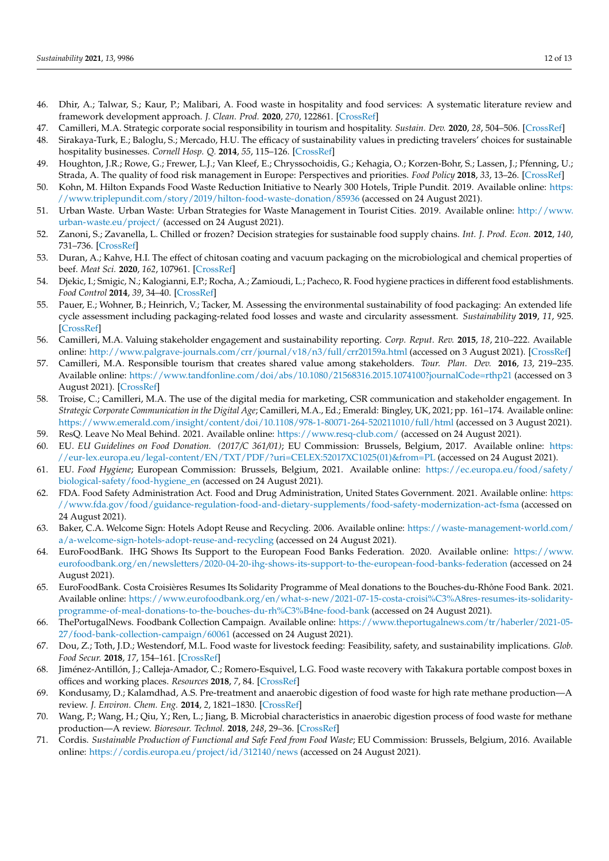- 46. Dhir, A.; Talwar, S.; Kaur, P.; Malibari, A. Food waste in hospitality and food services: A systematic literature review and framework development approach. *J. Clean. Prod.* **2020**, *270*, 122861. [\[CrossRef\]](http://doi.org/10.1016/j.jclepro.2020.122861)
- 47. Camilleri, M.A. Strategic corporate social responsibility in tourism and hospitality. *Sustain. Dev.* **2020**, *28*, 504–506. [\[CrossRef\]](http://doi.org/10.1002/sd.2059)
- <span id="page-11-0"></span>48. Sirakaya-Turk, E.; Baloglu, S.; Mercado, H.U. The efficacy of sustainability values in predicting travelers' choices for sustainable hospitality businesses. *Cornell Hosp. Q.* **2014**, *55*, 115–126. [\[CrossRef\]](http://doi.org/10.1177/1938965513499822)
- <span id="page-11-1"></span>49. Houghton, J.R.; Rowe, G.; Frewer, L.J.; Van Kleef, E.; Chryssochoidis, G.; Kehagia, O.; Korzen-Bohr, S.; Lassen, J.; Pfenning, U.; Strada, A. The quality of food risk management in Europe: Perspectives and priorities. *Food Policy* **2018**, *33*, 13–26. [\[CrossRef\]](http://doi.org/10.1016/j.foodpol.2007.05.001)
- <span id="page-11-2"></span>50. Kohn, M. Hilton Expands Food Waste Reduction Initiative to Nearly 300 Hotels, Triple Pundit. 2019. Available online: [https:](https://www.triplepundit.com/story/2019/hilton-food-waste-donation/85936) [//www.triplepundit.com/story/2019/hilton-food-waste-donation/85936](https://www.triplepundit.com/story/2019/hilton-food-waste-donation/85936) (accessed on 24 August 2021).
- <span id="page-11-3"></span>51. Urban Waste. Urban Waste: Urban Strategies for Waste Management in Tourist Cities. 2019. Available online: [http://www.](http://www.urban-waste.eu/project/) [urban-waste.eu/project/](http://www.urban-waste.eu/project/) (accessed on 24 August 2021).
- <span id="page-11-4"></span>52. Zanoni, S.; Zavanella, L. Chilled or frozen? Decision strategies for sustainable food supply chains. *Int. J. Prod. Econ.* **2012**, *140*, 731–736. [\[CrossRef\]](http://doi.org/10.1016/j.ijpe.2011.04.028)
- <span id="page-11-5"></span>53. Duran, A.; Kahve, H.I. The effect of chitosan coating and vacuum packaging on the microbiological and chemical properties of beef. *Meat Sci.* **2020**, *162*, 107961. [\[CrossRef\]](http://doi.org/10.1016/j.meatsci.2019.107961)
- <span id="page-11-6"></span>54. Djekic, I.; Smigic, N.; Kalogianni, E.P.; Rocha, A.; Zamioudi, L.; Pacheco, R. Food hygiene practices in different food establishments. *Food Control* **2014**, *39*, 34–40. [\[CrossRef\]](http://doi.org/10.1016/j.foodcont.2013.10.035)
- <span id="page-11-7"></span>55. Pauer, E.; Wohner, B.; Heinrich, V.; Tacker, M. Assessing the environmental sustainability of food packaging: An extended life cycle assessment including packaging-related food losses and waste and circularity assessment. *Sustainability* **2019**, *11*, 925. [\[CrossRef\]](http://doi.org/10.3390/su11030925)
- <span id="page-11-8"></span>56. Camilleri, M.A. Valuing stakeholder engagement and sustainability reporting. *Corp. Reput. Rev.* **2015**, *18*, 210–222. Available online: <http://www.palgrave-journals.com/crr/journal/v18/n3/full/crr20159a.html> (accessed on 3 August 2021). [\[CrossRef\]](http://doi.org/10.1057/crr.2015.9)
- 57. Camilleri, M.A. Responsible tourism that creates shared value among stakeholders. *Tour. Plan. Dev.* **2016**, *13*, 219–235. Available online: <https://www.tandfonline.com/doi/abs/10.1080/21568316.2015.1074100?journalCode=rthp21> (accessed on 3 August 2021). [\[CrossRef\]](http://doi.org/10.1080/21568316.2015.1074100)
- <span id="page-11-9"></span>58. Troise, C.; Camilleri, M.A. The use of the digital media for marketing, CSR communication and stakeholder engagement. In *Strategic Corporate Communication in the Digital Age*; Camilleri, M.A., Ed.; Emerald: Bingley, UK, 2021; pp. 161–174. Available online: <https://www.emerald.com/insight/content/doi/10.1108/978-1-80071-264-520211010/full/html> (accessed on 3 August 2021).
- <span id="page-11-10"></span>59. ResQ. Leave No Meal Behind. 2021. Available online: <https://www.resq-club.com/> (accessed on 24 August 2021).
- <span id="page-11-11"></span>60. EU. *EU Guidelines on Food Donation. (2017/C 361/01)*; EU Commission: Brussels, Belgium, 2017. Available online: [https:](https://eur-lex.europa.eu/legal-content/EN/TXT/PDF/?uri=CELEX:52017XC1025(01)&from=PL) [//eur-lex.europa.eu/legal-content/EN/TXT/PDF/?uri=CELEX:52017XC1025\(01\)&from=PL](https://eur-lex.europa.eu/legal-content/EN/TXT/PDF/?uri=CELEX:52017XC1025(01)&from=PL) (accessed on 24 August 2021).
- <span id="page-11-12"></span>61. EU. *Food Hygiene*; European Commission: Brussels, Belgium, 2021. Available online: [https://ec.europa.eu/food/safety/](https://ec.europa.eu/food/safety/biological-safety/food-hygiene_en) [biological-safety/food-hygiene\\_en](https://ec.europa.eu/food/safety/biological-safety/food-hygiene_en) (accessed on 24 August 2021).
- <span id="page-11-13"></span>62. FDA. Food Safety Administration Act. Food and Drug Administration, United States Government. 2021. Available online: [https:](https://www.fda.gov/food/guidance-regulation-food-and-dietary-supplements/food-safety-modernization-act-fsma) [//www.fda.gov/food/guidance-regulation-food-and-dietary-supplements/food-safety-modernization-act-fsma](https://www.fda.gov/food/guidance-regulation-food-and-dietary-supplements/food-safety-modernization-act-fsma) (accessed on 24 August 2021).
- <span id="page-11-14"></span>63. Baker, C.A. Welcome Sign: Hotels Adopt Reuse and Recycling. 2006. Available online: [https://waste-management-world.com/](https://waste-management-world.com/a/a-welcome-sign-hotels-adopt-reuse-and-recycling) [a/a-welcome-sign-hotels-adopt-reuse-and-recycling](https://waste-management-world.com/a/a-welcome-sign-hotels-adopt-reuse-and-recycling) (accessed on 24 August 2021).
- <span id="page-11-15"></span>64. EuroFoodBank. IHG Shows Its Support to the European Food Banks Federation. 2020. Available online: [https://www.](https://www.eurofoodbank.org/en/newsletters/2020-04-20-ihg-shows-its-support-to-the-european-food-banks-federation) [eurofoodbank.org/en/newsletters/2020-04-20-ihg-shows-its-support-to-the-european-food-banks-federation](https://www.eurofoodbank.org/en/newsletters/2020-04-20-ihg-shows-its-support-to-the-european-food-banks-federation) (accessed on 24 August 2021).
- <span id="page-11-16"></span>65. EuroFoodBank. Costa Croisières Resumes Its Solidarity Programme of Meal donations to the Bouches-du-Rhône Food Bank. 2021. Available online: [https://www.eurofoodbank.org/en/what-s-new/2021-07-15-costa-croisi%C3%A8res-resumes-its-solidarity](https://www.eurofoodbank.org/en/what-s-new/2021-07-15-costa-croisi%C3%A8res-resumes-its-solidarity-programme-of-meal-donations-to-the-bouches-du-rh%C3%B4ne-food-bank)[programme-of-meal-donations-to-the-bouches-du-rh%C3%B4ne-food-bank](https://www.eurofoodbank.org/en/what-s-new/2021-07-15-costa-croisi%C3%A8res-resumes-its-solidarity-programme-of-meal-donations-to-the-bouches-du-rh%C3%B4ne-food-bank) (accessed on 24 August 2021).
- <span id="page-11-17"></span>66. ThePortugalNews. Foodbank Collection Campaign. Available online: [https://www.theportugalnews.com/tr/haberler/2021-05-](https://www.theportugalnews.com/tr/haberler/2021-05-27/food-bank-collection-campaign/60061) [27/food-bank-collection-campaign/60061](https://www.theportugalnews.com/tr/haberler/2021-05-27/food-bank-collection-campaign/60061) (accessed on 24 August 2021).
- <span id="page-11-18"></span>67. Dou, Z.; Toth, J.D.; Westendorf, M.L. Food waste for livestock feeding: Feasibility, safety, and sustainability implications. *Glob. Food Secur.* **2018**, *17*, 154–161. [\[CrossRef\]](http://doi.org/10.1016/j.gfs.2017.12.003)
- <span id="page-11-19"></span>68. Jiménez-Antillón, J.; Calleja-Amador, C.; Romero-Esquivel, L.G. Food waste recovery with Takakura portable compost boxes in offices and working places. *Resources* **2018**, *7*, 84. [\[CrossRef\]](http://doi.org/10.3390/resources7040084)
- <span id="page-11-20"></span>69. Kondusamy, D.; Kalamdhad, A.S. Pre-treatment and anaerobic digestion of food waste for high rate methane production—A review. *J. Environ. Chem. Eng.* **2014**, *2*, 1821–1830. [\[CrossRef\]](http://doi.org/10.1016/j.jece.2014.07.024)
- <span id="page-11-21"></span>70. Wang, P.; Wang, H.; Qiu, Y.; Ren, L.; Jiang, B. Microbial characteristics in anaerobic digestion process of food waste for methane production—A review. *Bioresour. Technol.* **2018**, *248*, 29–36. [\[CrossRef\]](http://doi.org/10.1016/j.biortech.2017.06.152)
- <span id="page-11-22"></span>71. Cordis. *Sustainable Production of Functional and Safe Feed from Food Waste*; EU Commission: Brussels, Belgium, 2016. Available online: <https://cordis.europa.eu/project/id/312140/news> (accessed on 24 August 2021).